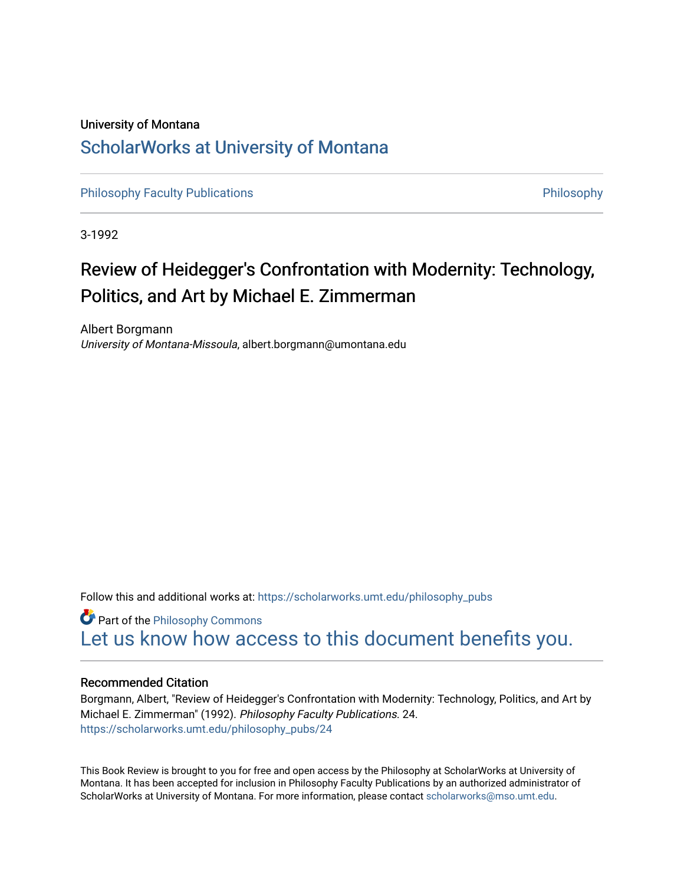## University of Montana [ScholarWorks at University of Montana](https://scholarworks.umt.edu/)

[Philosophy Faculty Publications](https://scholarworks.umt.edu/philosophy_pubs) **[Philosophy](https://scholarworks.umt.edu/philosophy) Faculty Publications Philosophy** 

3-1992

## Review of Heidegger's Confrontation with Modernity: Technology, Politics, and Art by Michael E. Zimmerman

Albert Borgmann University of Montana-Missoula, albert.borgmann@umontana.edu

Follow this and additional works at: [https://scholarworks.umt.edu/philosophy\\_pubs](https://scholarworks.umt.edu/philosophy_pubs?utm_source=scholarworks.umt.edu%2Fphilosophy_pubs%2F24&utm_medium=PDF&utm_campaign=PDFCoverPages)

**Part of the Philosophy Commons** [Let us know how access to this document benefits you.](https://goo.gl/forms/s2rGfXOLzz71qgsB2) 

#### Recommended Citation

Borgmann, Albert, "Review of Heidegger's Confrontation with Modernity: Technology, Politics, and Art by Michael E. Zimmerman" (1992). Philosophy Faculty Publications. 24. [https://scholarworks.umt.edu/philosophy\\_pubs/24](https://scholarworks.umt.edu/philosophy_pubs/24?utm_source=scholarworks.umt.edu%2Fphilosophy_pubs%2F24&utm_medium=PDF&utm_campaign=PDFCoverPages) 

This Book Review is brought to you for free and open access by the Philosophy at ScholarWorks at University of Montana. It has been accepted for inclusion in Philosophy Faculty Publications by an authorized administrator of ScholarWorks at University of Montana. For more information, please contact [scholarworks@mso.umt.edu.](mailto:scholarworks@mso.umt.edu)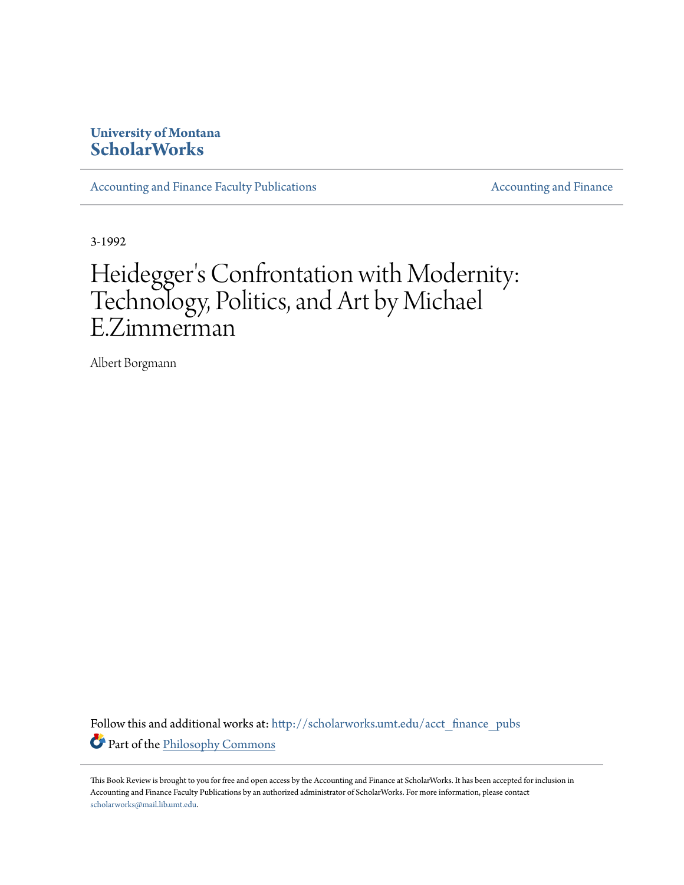### **University of Montana [ScholarWorks](http://scholarworks.umt.edu?utm_source=scholarworks.umt.edu%2Facct_finance_pubs%2F1&utm_medium=PDF&utm_campaign=PDFCoverPages)**

[Accounting and Finance Faculty Publications](http://scholarworks.umt.edu/acct_finance_pubs?utm_source=scholarworks.umt.edu%2Facct_finance_pubs%2F1&utm_medium=PDF&utm_campaign=PDFCoverPages) **[Accounting and Finance](http://scholarworks.umt.edu/acct_finance?utm_source=scholarworks.umt.edu%2Facct_finance_pubs%2F1&utm_medium=PDF&utm_campaign=PDFCoverPages)** Accounting and Finance

3-1992

# Heidegger 's Confrontation with Modernity: Technology, Politics, and Art by Michael E.Zimmerman

Albert Borgmann

Follow this and additional works at: [http://scholarworks.umt.edu/acct\\_finance\\_pubs](http://scholarworks.umt.edu/acct_finance_pubs?utm_source=scholarworks.umt.edu%2Facct_finance_pubs%2F1&utm_medium=PDF&utm_campaign=PDFCoverPages) Part of the [Philosophy Commons](http://network.bepress.com/hgg/discipline/525?utm_source=scholarworks.umt.edu%2Facct_finance_pubs%2F1&utm_medium=PDF&utm_campaign=PDFCoverPages)

This Book Review is brought to you for free and open access by the Accounting and Finance at ScholarWorks. It has been accepted for inclusion in Accounting and Finance Faculty Publications by an authorized administrator of ScholarWorks. For more information, please contact [scholarworks@mail.lib.umt.edu.](mailto:scholarworks@mail.lib.umt.edu)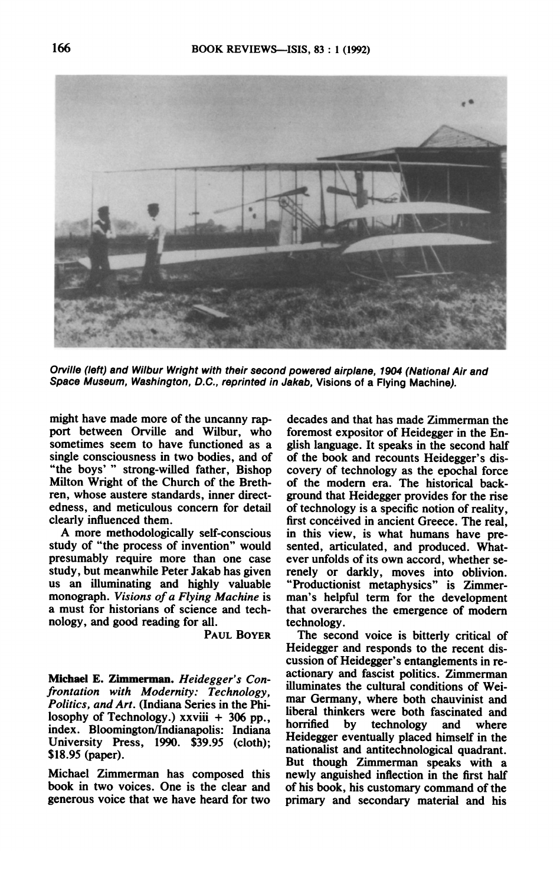

**Orville (left) and Wilbur Wright with their second powered airplane, 1904 (National Air and Space Museum, Washington, D.C., reprinted in Jakab, Visions of a Flying Machine).** 

**might have made more of the uncanny rapport between Orville and Wilbur, who sometimes seem to have functioned as a single consciousness in two bodies, and of "the boys'" strong-willed father, Bishop Milton Wright of the Church of the Brethren, whose austere standards, inner directedness, and meticulous concern for detail clearly influenced them.** 

**A more methodologically self-conscious study of "the process of invention" would presumably require more than one case study, but meanwhile Peter Jakab has given us an illuminating and highly valuable monograph. Visions of a Flying Machine is a must for historians of science and technology, and good reading for all.** 

**PAUL BOYER** 

**Michael E. Zinmerman. Heidegger's Confrontation with Modernity: Technology, Politics, and Art. (Indiana Series in the Philosophy of Technology.) xxviii + 306 pp., index. Bloomington/Indianapolis: Indiana University Press, 1990. \$39.95 (cloth); \$18.95 (paper).** 

**Michael Zimmerman has composed this book in two voices. One is the clear and generous voice that we have heard for two** 

**decades and that has made Zimmerman the foremost expositor of Heidegger in the English language. It speaks in the second half of the book and recounts Heidegger's discovery of technology as the epochal force of the modern era. The historical background that Heidegger provides for the rise of technology is a specific notion of reality, first conceived in ancient Greece. The real, in this view, is what humans have presented, articulated, and produced. Whatever unfolds of its own accord, whether serenely or darkly, moves into oblivion. "Productionist metaphysics" is Zimmerman's helpful term for the development that overarches the emergence of modem technology.** 

**The second voice is bitterly critical of Heidegger and responds to the recent discussion of Heidegger's entanglements in reactionary and fascist politics. Zimmerman illuminates the cultural conditions of Weimar Germany, where both chauvinist and liberal thinkers were both fascinated and**  technology and where **Heidegger eventually placed himself in the nationalist and antitechnological quadrant. But though Zimmerman speaks with a newly anguished inflection in the first half of his book, his customary command of the primary and secondary material and his**